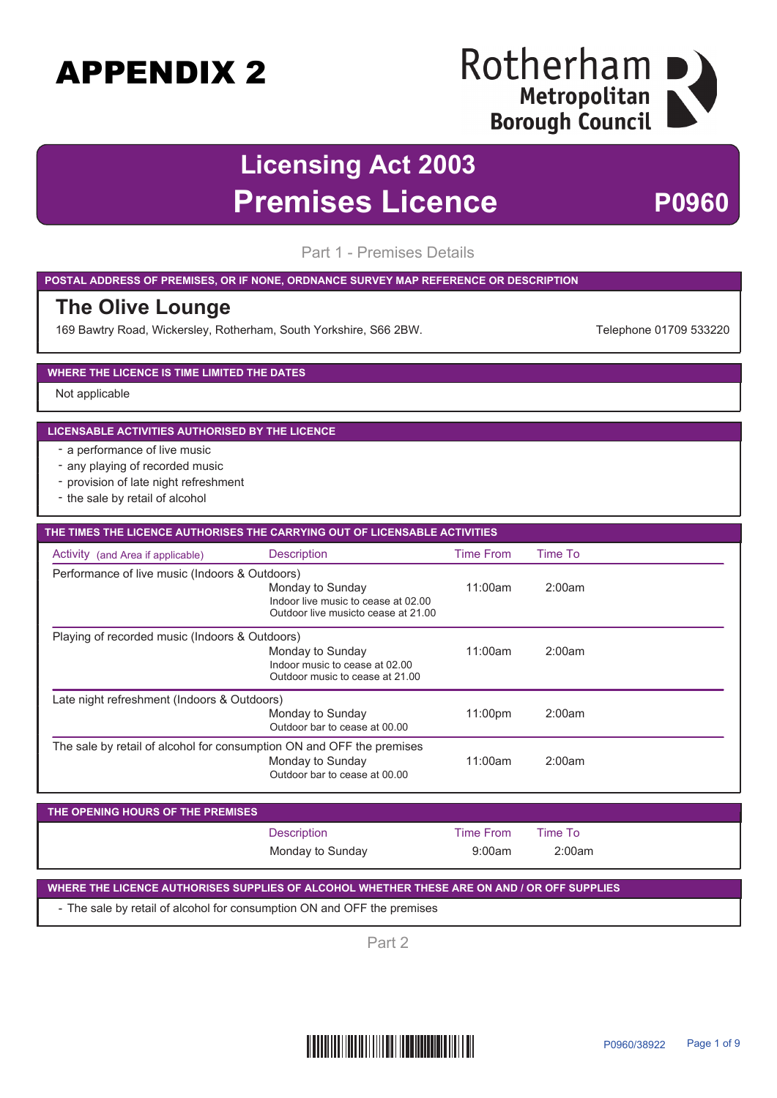## Rotherham I Metropolitan | **Borough Council**

## **Licensing Act 2003 Premises Licence P0960**

Part 1 - Premises Details

#### **POSTAL ADDRESS OF PREMISES, OR IF NONE, ORDNANCE SURVEY MAP REFERENCE OR DESCRIPTION**

### **The Olive Lounge**

169 Bawtry Road, Wickersley, Rotherham, South Yorkshire, S66 2BW. The Manuscull Change of Telephone 01709 533220

### **WHERE THE LICENCE IS TIME LIMITED THE DATES**

Not applicable

#### **LICENSABLE ACTIVITIES AUTHORISED BY THE LICENCE**

- a performance of live music
- any playing of recorded music
- provision of late night refreshment
- the sale by retail of alcohol

| THE TIMES THE LICENCE AUTHORISES THE CARRYING OUT OF LICENSABLE ACTIVITIES |                                                                                                |                  |         |  |  |
|----------------------------------------------------------------------------|------------------------------------------------------------------------------------------------|------------------|---------|--|--|
| Activity (and Area if applicable)                                          | <b>Description</b>                                                                             | <b>Time From</b> | Time To |  |  |
| Performance of live music (Indoors & Outdoors)                             |                                                                                                |                  |         |  |  |
|                                                                            | Monday to Sunday<br>Indoor live music to cease at 02.00<br>Outdoor live musicto cease at 21.00 | 11:00am          | 2:00am  |  |  |
| Playing of recorded music (Indoors & Outdoors)                             |                                                                                                |                  |         |  |  |
|                                                                            | Monday to Sunday<br>Indoor music to cease at 02.00<br>Outdoor music to cease at 21,00          | 11:00am          | 2:00am  |  |  |
| Late night refreshment (Indoors & Outdoors)                                |                                                                                                |                  |         |  |  |
|                                                                            | Monday to Sunday<br>Outdoor bar to cease at 00.00                                              | 11:00pm          | 2:00am  |  |  |
| The sale by retail of alcohol for consumption ON and OFF the premises      | Monday to Sunday<br>Outdoor bar to cease at 00.00                                              | 11:00am          | 2:00am  |  |  |

| THE OPENING HOURS OF THE PREMISES |                    |                  |         |  |
|-----------------------------------|--------------------|------------------|---------|--|
|                                   | <b>Description</b> | <b>Time From</b> | Time To |  |
|                                   | Monday to Sunday   | 9:00am           | 2:00am  |  |

### **WHERE THE LICENCE AUTHORISES SUPPLIES OF ALCOHOL WHETHER THESE ARE ON AND / OR OFF SUPPLIES**

- The sale by retail of alcohol for consumption ON and OFF the premises

Part 2

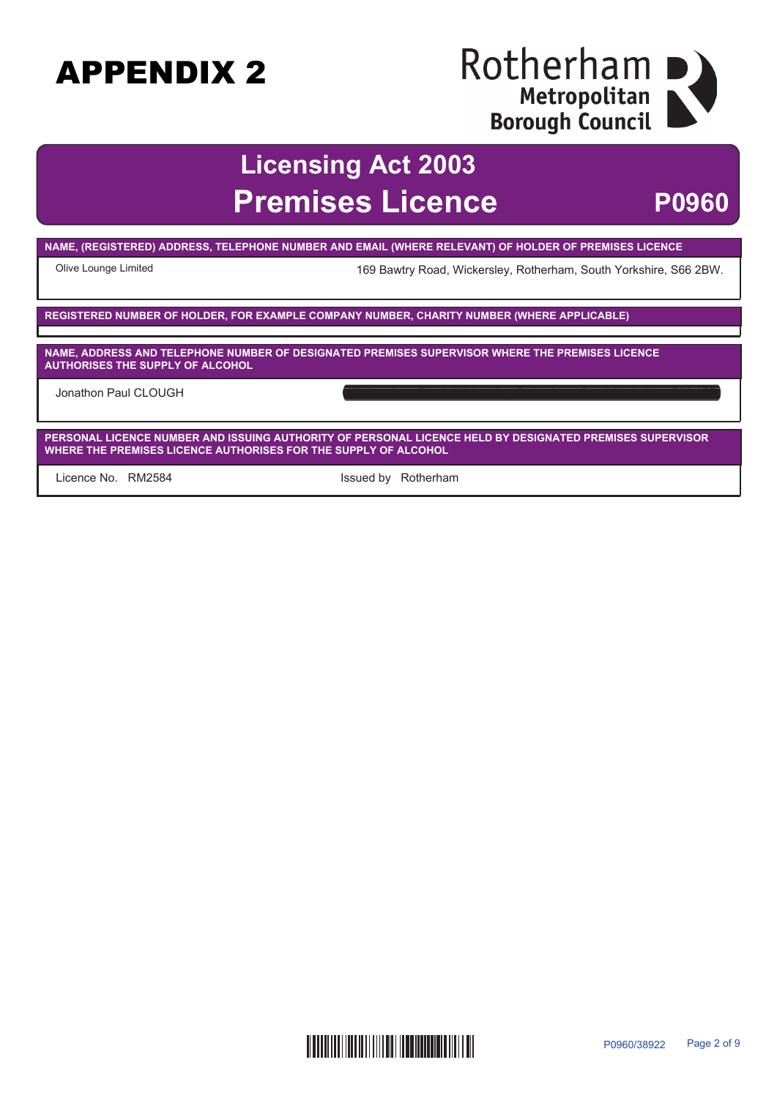### Rotherham I Metropolitan **Borough Council**

### **Licensing Act 2003 Premises Licence P0960**

**NAME, (REGISTERED) ADDRESS, TELEPHONE NUMBER AND EMAIL (WHERE RELEVANT) OF HOLDER OF PREMISES LICENCE**

Olive Lounge Limited 169 Bawtry Road, Wickersley, Rotherham, South Yorkshire, S66 2BW.

**REGISTERED NUMBER OF HOLDER, FOR EXAMPLE COMPANY NUMBER, CHARITY NUMBER (WHERE APPLICABLE)**

**NAME, ADDRESS AND TELEPHONE NUMBER OF DESIGNATED PREMISES SUPERVISOR WHERE THE PREMISES LICENCE AUTHORISES THE SUPPLY OF ALCOHOL**

Jonathon Paul CLOUGH

**PERSONAL LICENCE NUMBER AND ISSUING AUTHORITY OF PERSONAL LICENCE HELD BY DESIGNATED PREMISES SUPERVISOR WHERE THE PREMISES LICENCE AUTHORISES FOR THE SUPPLY OF ALCOHOL**

Licence No. RM2584 **Example 20** Issued by Rotherham

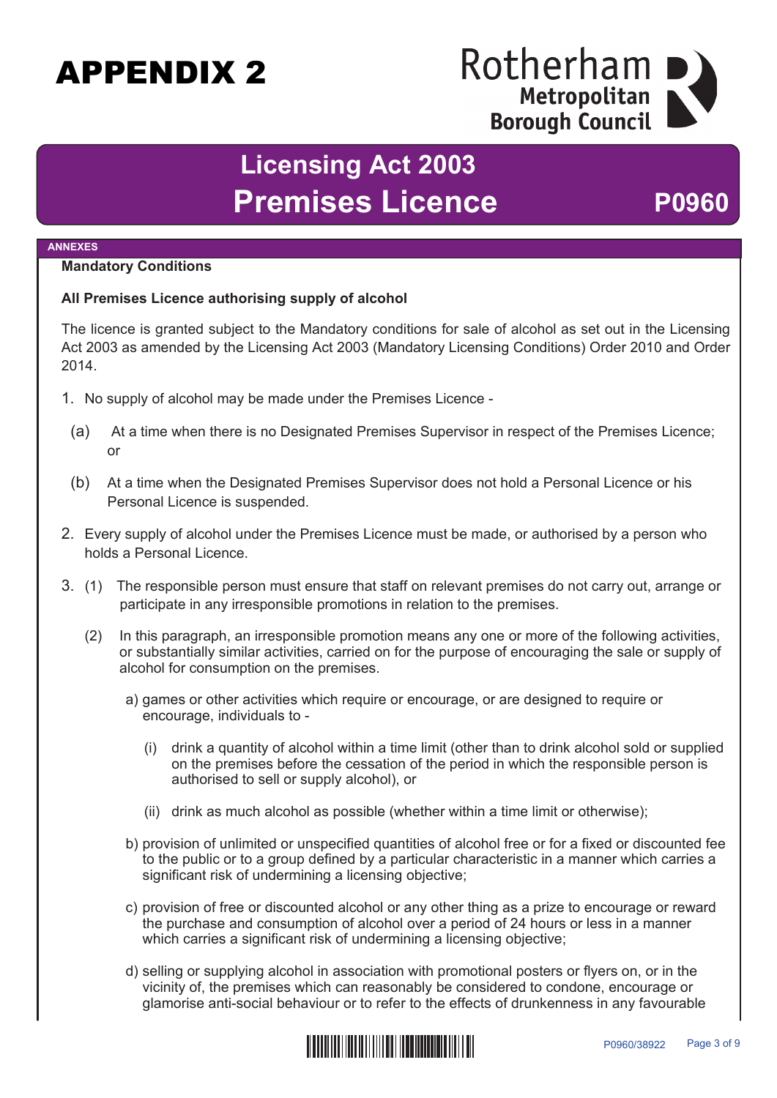### Rotherham Metropolitan **Borough Council**

## **Licensing Act 2003** Premises Licence P0960

#### **ANNEXES**

### **Mandatory Conditions**

### **All Premises Licence authorising supply of alcohol**

The licence is granted subject to the Mandatory conditions for sale of alcohol as set out in the Licensing Act 2003 as amended by the Licensing Act 2003 (Mandatory Licensing Conditions) Order 2010 and Order 2014.

- 1. No supply of alcohol may be made under the Premises Licence
	- (a) At a time when there is no Designated Premises Supervisor in respect of the Premises Licence; or
	- (b) At a time when the Designated Premises Supervisor does not hold a Personal Licence or his Personal Licence is suspended.
- 2. Every supply of alcohol under the Premises Licence must be made, or authorised by a person who holds a Personal Licence.
- 3. (1) The responsible person must ensure that staff on relevant premises do not carry out, arrange or participate in any irresponsible promotions in relation to the premises.
	- (2) In this paragraph, an irresponsible promotion means any one or more of the following activities, or substantially similar activities, carried on for the purpose of encouraging the sale or supply of alcohol for consumption on the premises.
		- a) games or other activities which require or encourage, or are designed to require or encourage, individuals to -
			- (i) drink a quantity of alcohol within a time limit (other than to drink alcohol sold or supplied on the premises before the cessation of the period in which the responsible person is authorised to sell or supply alcohol), or
			- (ii) drink as much alcohol as possible (whether within a time limit or otherwise);
		- b) provision of unlimited or unspecified quantities of alcohol free or for a fixed or discounted fee to the public or to a group defined by a particular characteristic in a manner which carries a significant risk of undermining a licensing objective;
		- c) provision of free or discounted alcohol or any other thing as a prize to encourage or reward the purchase and consumption of alcohol over a period of 24 hours or less in a manner which carries a significant risk of undermining a licensing objective;
		- d) selling or supplying alcohol in association with promotional posters or flyers on, or in the vicinity of, the premises which can reasonably be considered to condone, encourage or glamorise anti-social behaviour or to refer to the effects of drunkenness in any favourable

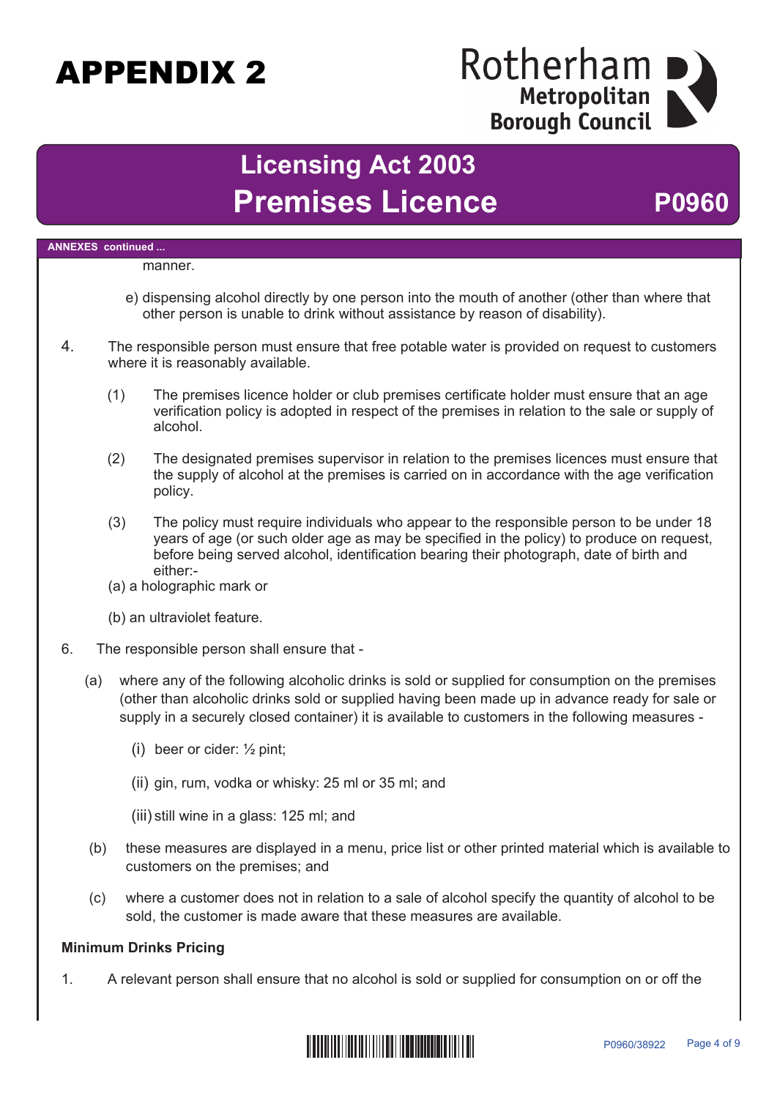### Rotherham Metropolitan **Borough Council**

## **Licensing Act 2003** Premises Licence P0960

### **ANNEXES continued ...** manner. e) dispensing alcohol directly by one person into the mouth of another (other than where that other person is unable to drink without assistance by reason of disability). 4. The responsible person must ensure that free potable water is provided on request to customers where it is reasonably available. (1) The premises licence holder or club premises certificate holder must ensure that an age verification policy is adopted in respect of the premises in relation to the sale or supply of alcohol. (2) The designated premises supervisor in relation to the premises licences must ensure that the supply of alcohol at the premises is carried on in accordance with the age verification policy. (3) The policy must require individuals who appear to the responsible person to be under 18 years of age (or such older age as may be specified in the policy) to produce on request, before being served alcohol, identification bearing their photograph, date of birth and either:- (a) a holographic mark or (b) an ultraviolet feature. 6. The responsible person shall ensure that - (a) where any of the following alcoholic drinks is sold or supplied for consumption on the premises (other than alcoholic drinks sold or supplied having been made up in advance ready for sale or supply in a securely closed container) it is available to customers in the following measures - (i) beer or cider: ½ pint; (ii) gin, rum, vodka or whisky: 25 ml or 35 ml; and (iii) still wine in a glass: 125 ml; and (b) these measures are displayed in a menu, price list or other printed material which is available to customers on the premises; and (c) where a customer does not in relation to a sale of alcohol specify the quantity of alcohol to be sold, the customer is made aware that these measures are available.

### **Minimum Drinks Pricing**

1. A relevant person shall ensure that no alcohol is sold or supplied for consumption on or off the

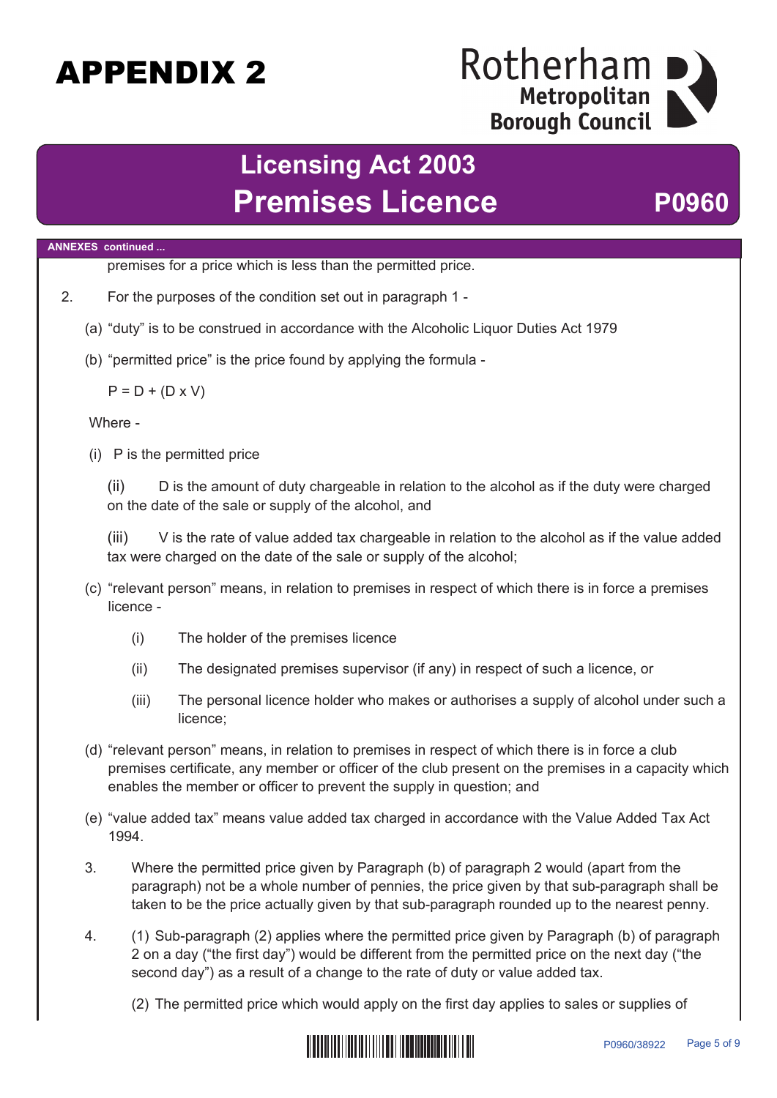### Rotherham Metropolitan **Borough Council**

## **Licensing Act 2003** Premises Licence P0960

### **ANNEXES continued ...**

premises for a price which is less than the permitted price.

- 2. For the purposes of the condition set out in paragraph 1
	- (a) "duty" is to be construed in accordance with the Alcoholic Liquor Duties Act 1979
	- (b) "permitted price" is the price found by applying the formula -

 $P = D + (D \times V)$ 

Where -

(i) P is the permitted price

(ii) D is the amount of duty chargeable in relation to the alcohol as if the duty were charged on the date of the sale or supply of the alcohol, and

(iii) V is the rate of value added tax chargeable in relation to the alcohol as if the value added tax were charged on the date of the sale or supply of the alcohol;

- (c) "relevant person" means, in relation to premises in respect of which there is in force a premises licence -
	- (i) The holder of the premises licence
	- (ii) The designated premises supervisor (if any) in respect of such a licence, or
	- (iii) The personal licence holder who makes or authorises a supply of alcohol under such a licence;
- (d) "relevant person" means, in relation to premises in respect of which there is in force a club premises certificate, any member or officer of the club present on the premises in a capacity which enables the member or officer to prevent the supply in question; and
- (e) "value added tax" means value added tax charged in accordance with the Value Added Tax Act 1994.
- 3. Where the permitted price given by Paragraph (b) of paragraph 2 would (apart from the paragraph) not be a whole number of pennies, the price given by that sub-paragraph shall be taken to be the price actually given by that sub-paragraph rounded up to the nearest penny.
- 4. (1) Sub-paragraph (2) applies where the permitted price given by Paragraph (b) of paragraph 2 on a day ("the first day") would be different from the permitted price on the next day ("the second day") as a result of a change to the rate of duty or value added tax.

(2) The permitted price which would apply on the first day applies to sales or supplies of

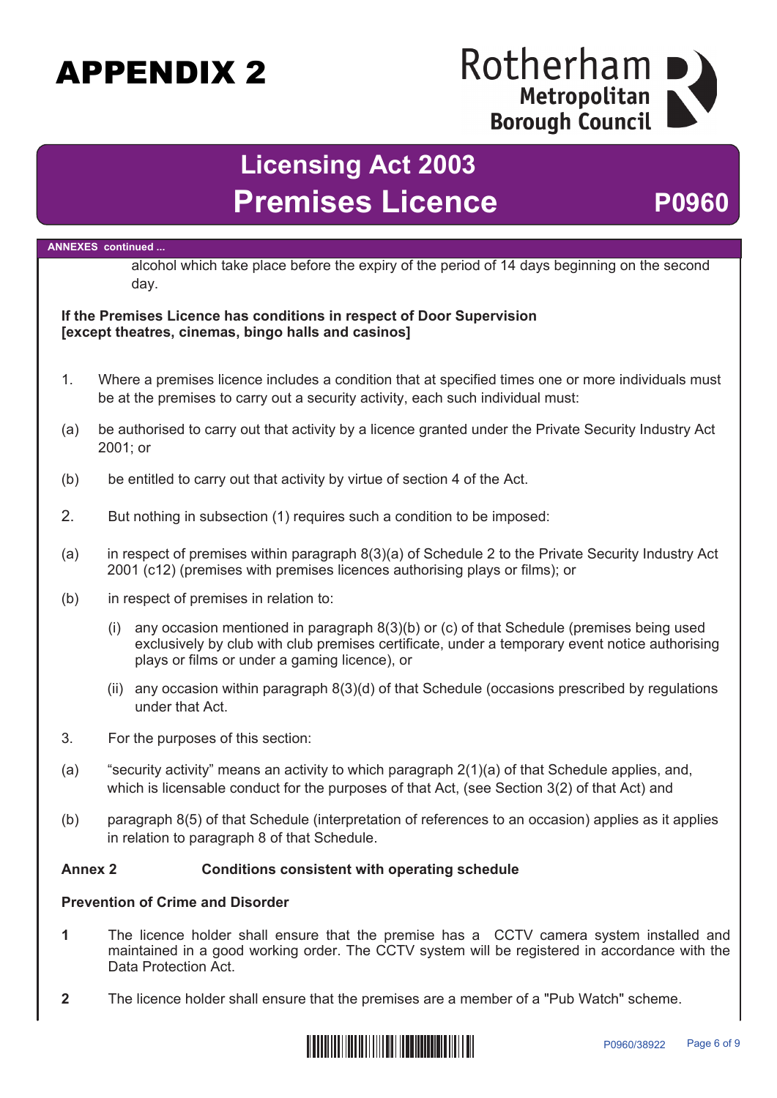### Rotherham Metropolitan **Borough Council**

## **Licensing Act 2003 Premises Licence <b>P0960**

#### **ANNEXES continued ...**

alcohol which take place before the expiry of the period of 14 days beginning on the second day.

### **If the Premises Licence has conditions in respect of Door Supervision [except theatres, cinemas, bingo halls and casinos]**

- 1. Where a premises licence includes a condition that at specified times one or more individuals must be at the premises to carry out a security activity, each such individual must:
- (a) be authorised to carry out that activity by a licence granted under the Private Security Industry Act 2001; or
- (b) be entitled to carry out that activity by virtue of section 4 of the Act.
- 2. But nothing in subsection (1) requires such a condition to be imposed:
- (a) in respect of premises within paragraph 8(3)(a) of Schedule 2 to the Private Security Industry Act 2001 (c12) (premises with premises licences authorising plays or films); or
- (b) in respect of premises in relation to:
	- (i) any occasion mentioned in paragraph 8(3)(b) or (c) of that Schedule (premises being used exclusively by club with club premises certificate, under a temporary event notice authorising plays or films or under a gaming licence), or
	- (ii) any occasion within paragraph 8(3)(d) of that Schedule (occasions prescribed by regulations under that Act.
- 3. For the purposes of this section:
- (a) "security activity" means an activity to which paragraph 2(1)(a) of that Schedule applies, and, which is licensable conduct for the purposes of that Act, (see Section 3(2) of that Act) and
- (b) paragraph 8(5) of that Schedule (interpretation of references to an occasion) applies as it applies in relation to paragraph 8 of that Schedule.

### **Annex 2 Conditions consistent with operating schedule**

### **Prevention of Crime and Disorder**

- **1** The licence holder shall ensure that the premise has a CCTV camera system installed and maintained in a good working order. The CCTV system will be registered in accordance with the Data Protection Act.
- **2** The licence holder shall ensure that the premises are a member of a "Pub Watch" scheme.

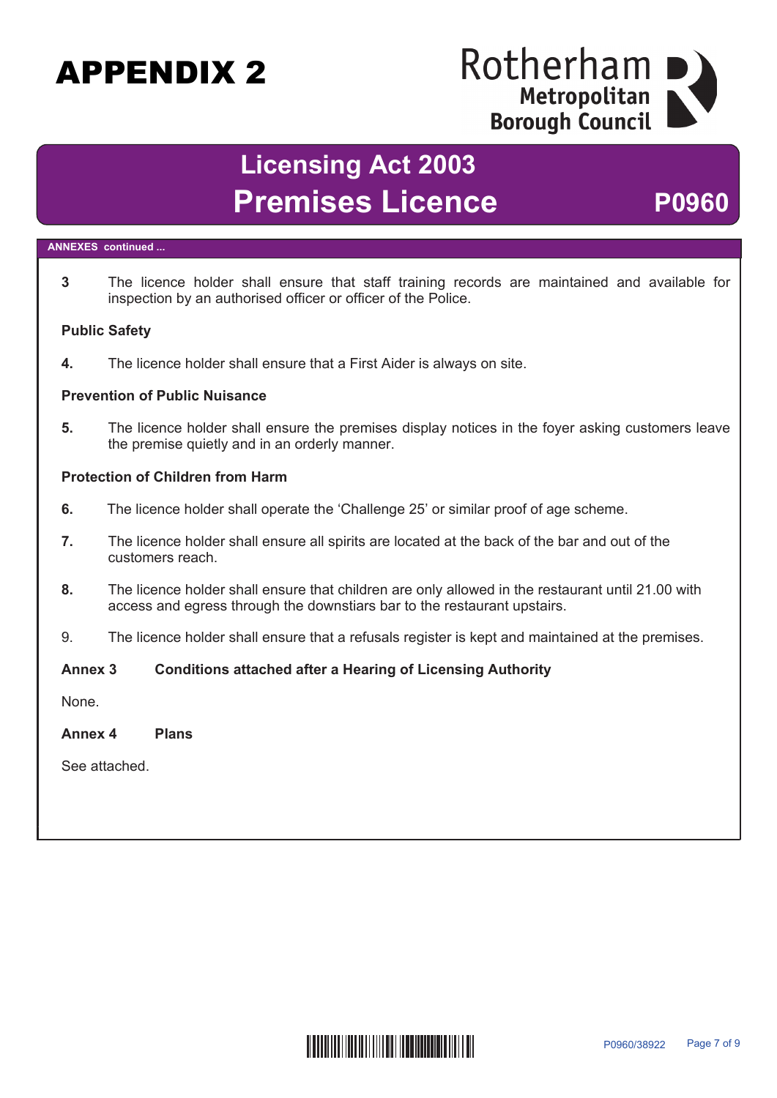### Rotherham Metropolitan **Borough Council**

## **Licensing Act 2003** Premises Licence P0960

### **ANNEXES continued ...**

**3** The licence holder shall ensure that staff training records are maintained and available for inspection by an authorised officer or officer of the Police.

### **Public Safety**

**4.** The licence holder shall ensure that a First Aider is always on site.

### **Prevention of Public Nuisance**

**5.** The licence holder shall ensure the premises display notices in the foyer asking customers leave the premise quietly and in an orderly manner.

### **Protection of Children from Harm**

- **6.** The licence holder shall operate the 'Challenge 25' or similar proof of age scheme.
- **7.** The licence holder shall ensure all spirits are located at the back of the bar and out of the customers reach.
- **8.** The licence holder shall ensure that children are only allowed in the restaurant until 21.00 with access and egress through the downstiars bar to the restaurant upstairs.
- 9. The licence holder shall ensure that a refusals register is kept and maintained at the premises.

### **Annex 3 Conditions attached after a Hearing of Licensing Authority**

None.

**Annex 4 Plans**

See attached.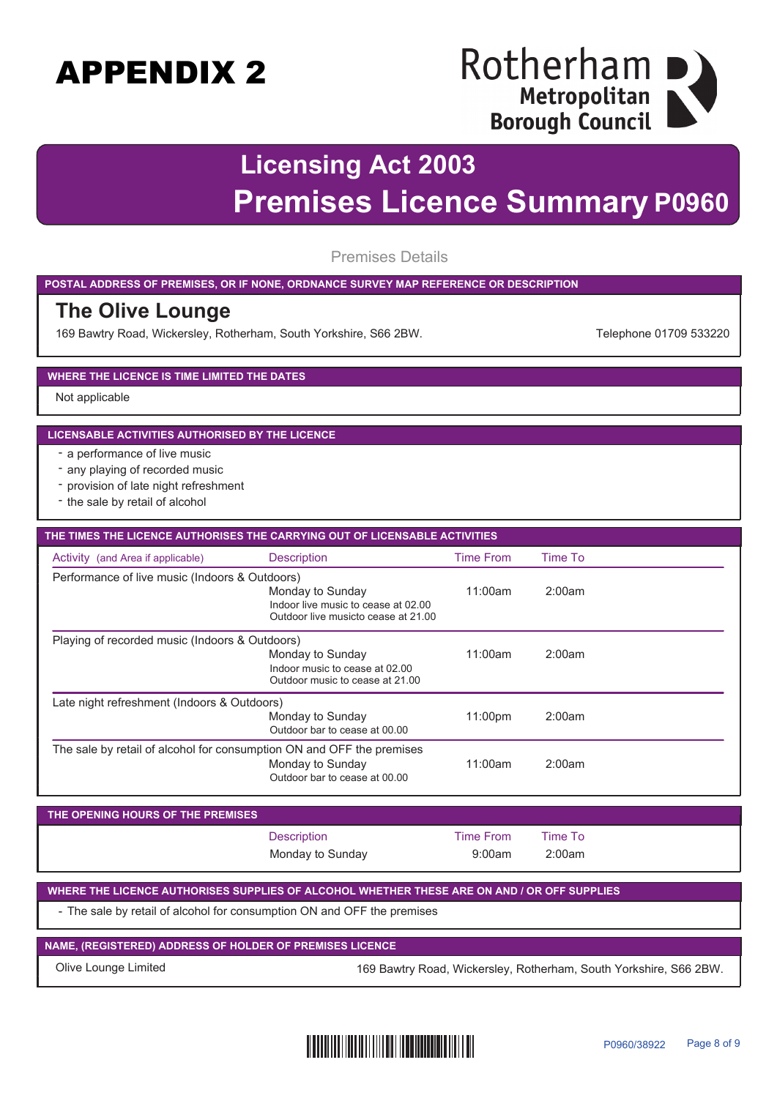### Rotherham I Metropolitan **Borough Council**

## **Licensing Act 2003 Premises Licence Summary P0960**

Premises Details

**POSTAL ADDRESS OF PREMISES, OR IF NONE, ORDNANCE SURVEY MAP REFERENCE OR DESCRIPTION**

### **The Olive Lounge**

169 Bawtry Road, Wickersley, Rotherham, South Yorkshire, S66 2BW. The Manuscom States and Telephone 01709 533220

#### **WHERE THE LICENCE IS TIME LIMITED THE DATES**

Not applicable

#### **LICENSABLE ACTIVITIES AUTHORISED BY THE LICENCE**

- a performance of live music
- any playing of recorded music
- provision of late night refreshment
- the sale by retail of alcohol

| THE TIMES THE LICENCE AUTHORISES THE CARRYING OUT OF LICENSABLE ACTIVITIES |                                                                                                |                  |         |  |  |
|----------------------------------------------------------------------------|------------------------------------------------------------------------------------------------|------------------|---------|--|--|
| Activity (and Area if applicable)                                          | <b>Description</b>                                                                             | <b>Time From</b> | Time To |  |  |
| Performance of live music (Indoors & Outdoors)                             |                                                                                                |                  |         |  |  |
|                                                                            | Monday to Sunday<br>Indoor live music to cease at 02.00<br>Outdoor live musicto cease at 21.00 | 11:00am          | 2:00am  |  |  |
| Playing of recorded music (Indoors & Outdoors)                             |                                                                                                |                  |         |  |  |
|                                                                            | Monday to Sunday<br>Indoor music to cease at 02.00<br>Outdoor music to cease at 21.00          | 11:00am          | 2:00am  |  |  |
| Late night refreshment (Indoors & Outdoors)                                |                                                                                                |                  |         |  |  |
|                                                                            | Monday to Sunday<br>Outdoor bar to cease at 00.00                                              | 11:00pm          | 2:00am  |  |  |
| The sale by retail of alcohol for consumption ON and OFF the premises      | Monday to Sunday<br>Outdoor bar to cease at 00.00                                              | 11:00am          | 2:00am  |  |  |

| THE OPENING HOURS OF THE PREMISES |                  |           |         |  |
|-----------------------------------|------------------|-----------|---------|--|
|                                   | Description      | Time From | Time To |  |
|                                   | Monday to Sunday | 9:00am    | 2:00am  |  |

**WHERE THE LICENCE AUTHORISES SUPPLIES OF ALCOHOL WHETHER THESE ARE ON AND / OR OFF SUPPLIES**

- The sale by retail of alcohol for consumption ON and OFF the premises

**NAME, (REGISTERED) ADDRESS OF HOLDER OF PREMISES LICENCE**

Olive Lounge Limited 169 Bawtry Road, Wickersley, Rotherham, South Yorkshire, S66 2BW.